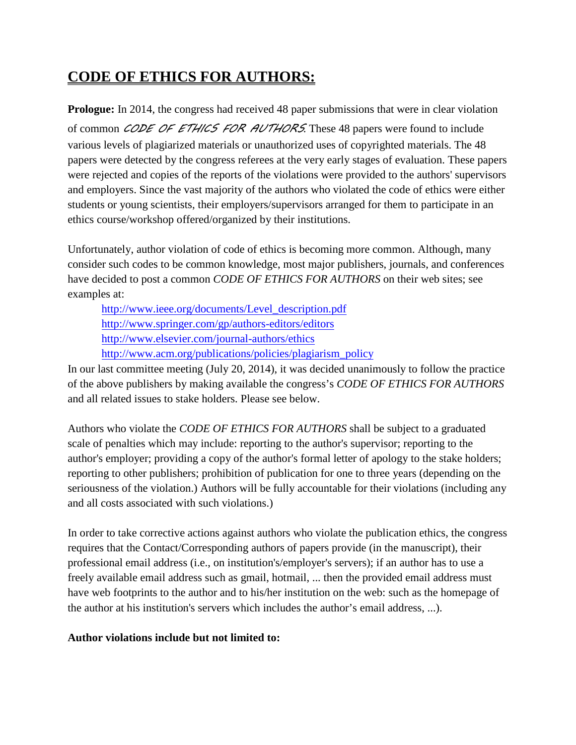## **CODE OF ETHICS FOR AUTHORS:**

**Prologue:** In 2014, the congress had received 48 paper submissions that were in clear violation of common *CODE OF ETHICS FOR AUTHORS*. These 48 papers were found to include various levels of plagiarized materials or unauthorized uses of copyrighted materials. The 48 papers were detected by the congress referees at the very early stages of evaluation. These papers were rejected and copies of the reports of the violations were provided to the authors' supervisors and employers. Since the vast majority of the authors who violated the code of ethics were either students or young scientists, their employers/supervisors arranged for them to participate in an ethics course/workshop offered/organized by their institutions.

Unfortunately, author violation of code of ethics is becoming more common. Although, many consider such codes to be common knowledge, most major publishers, journals, and conferences have decided to post a common *CODE OF ETHICS FOR AUTHORS* on their web sites; see examples at:

[http://www.ieee.org/documents/Level\\_description.pdf](http://www.ieee.org/documents/Level_description.pdf) <http://www.springer.com/gp/authors-editors/editors> <http://www.elsevier.com/journal-authors/ethics> [http://www.acm.org/publications/policies/plagiarism\\_policy](http://www.acm.org/publications/policies/plagiarism_policy)

In our last committee meeting (July 20, 2014), it was decided unanimously to follow the practice of the above publishers by making available the congress's *CODE OF ETHICS FOR AUTHORS* and all related issues to stake holders. Please see below.

Authors who violate the *CODE OF ETHICS FOR AUTHORS* shall be subject to a graduated scale of penalties which may include: reporting to the author's supervisor; reporting to the author's employer; providing a copy of the author's formal letter of apology to the stake holders; reporting to other publishers; prohibition of publication for one to three years (depending on the seriousness of the violation.) Authors will be fully accountable for their violations (including any and all costs associated with such violations.)

In order to take corrective actions against authors who violate the publication ethics, the congress requires that the Contact/Corresponding authors of papers provide (in the manuscript), their professional email address (i.e., on institution's/employer's servers); if an author has to use a freely available email address such as gmail, hotmail, ... then the provided email address must have web footprints to the author and to his/her institution on the web: such as the homepage of the author at his institution's servers which includes the author's email address, ...).

## **Author violations include but not limited to:**